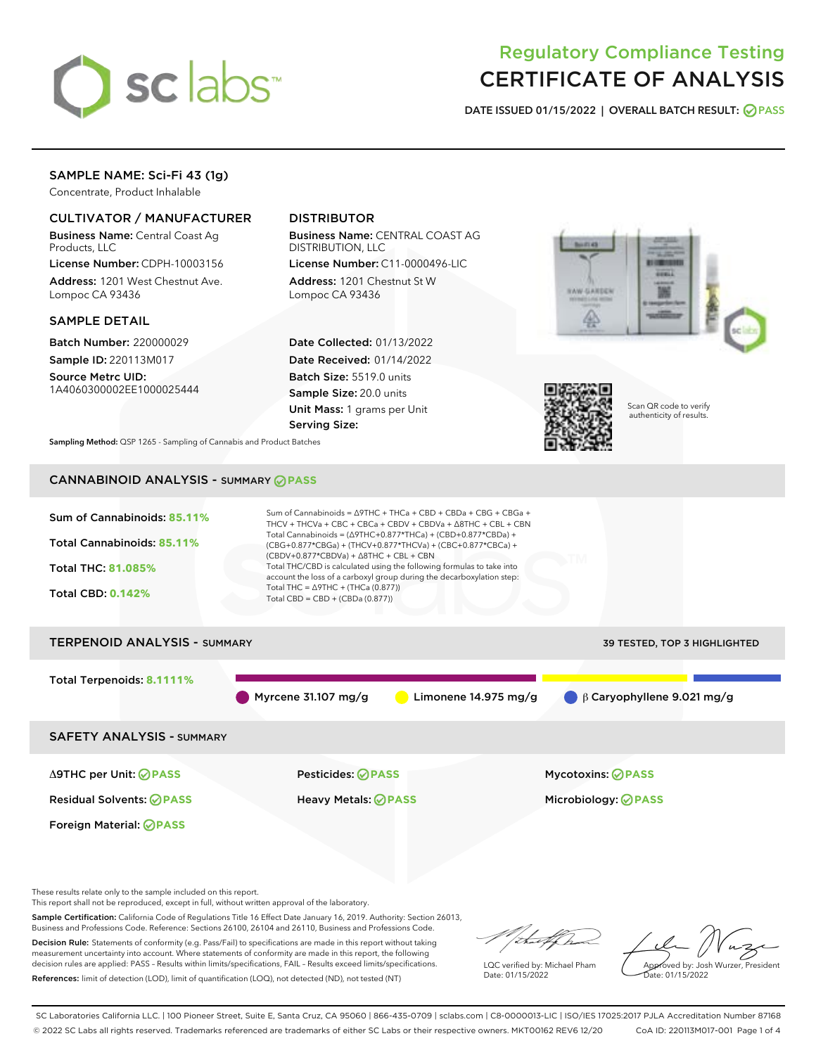

# Regulatory Compliance Testing CERTIFICATE OF ANALYSIS

DATE ISSUED 01/15/2022 | OVERALL BATCH RESULT: @ PASS

## SAMPLE NAME: Sci-Fi 43 (1g)

Concentrate, Product Inhalable

#### CULTIVATOR / MANUFACTURER

Business Name: Central Coast Ag Products, LLC

License Number: CDPH-10003156 Address: 1201 West Chestnut Ave. Lompoc CA 93436

#### SAMPLE DETAIL

Batch Number: 220000029 Sample ID: 220113M017

Source Metrc UID: 1A4060300002EE1000025444

## DISTRIBUTOR

Business Name: CENTRAL COAST AG DISTRIBUTION, LLC

License Number: C11-0000496-LIC Address: 1201 Chestnut St W Lompoc CA 93436

Date Collected: 01/13/2022 Date Received: 01/14/2022 Batch Size: 5519.0 units Sample Size: 20.0 units Unit Mass: 1 grams per Unit Serving Size:





Scan QR code to verify authenticity of results.

Sampling Method: QSP 1265 - Sampling of Cannabis and Product Batches

# CANNABINOID ANALYSIS - SUMMARY **PASS**



Decision Rule: Statements of conformity (e.g. Pass/Fail) to specifications are made in this report without taking measurement uncertainty into account. Where statements of conformity are made in this report, the following decision rules are applied: PASS – Results within limits/specifications, FAIL – Results exceed limits/specifications. References: limit of detection (LOD), limit of quantification (LOQ), not detected (ND), not tested (NT)

LQC verified by: Michael Pham Date: 01/15/2022

Approved by: Josh Wurzer, President ate: 01/15/2022

SC Laboratories California LLC. | 100 Pioneer Street, Suite E, Santa Cruz, CA 95060 | 866-435-0709 | sclabs.com | C8-0000013-LIC | ISO/IES 17025:2017 PJLA Accreditation Number 87168 © 2022 SC Labs all rights reserved. Trademarks referenced are trademarks of either SC Labs or their respective owners. MKT00162 REV6 12/20 CoA ID: 220113M017-001 Page 1 of 4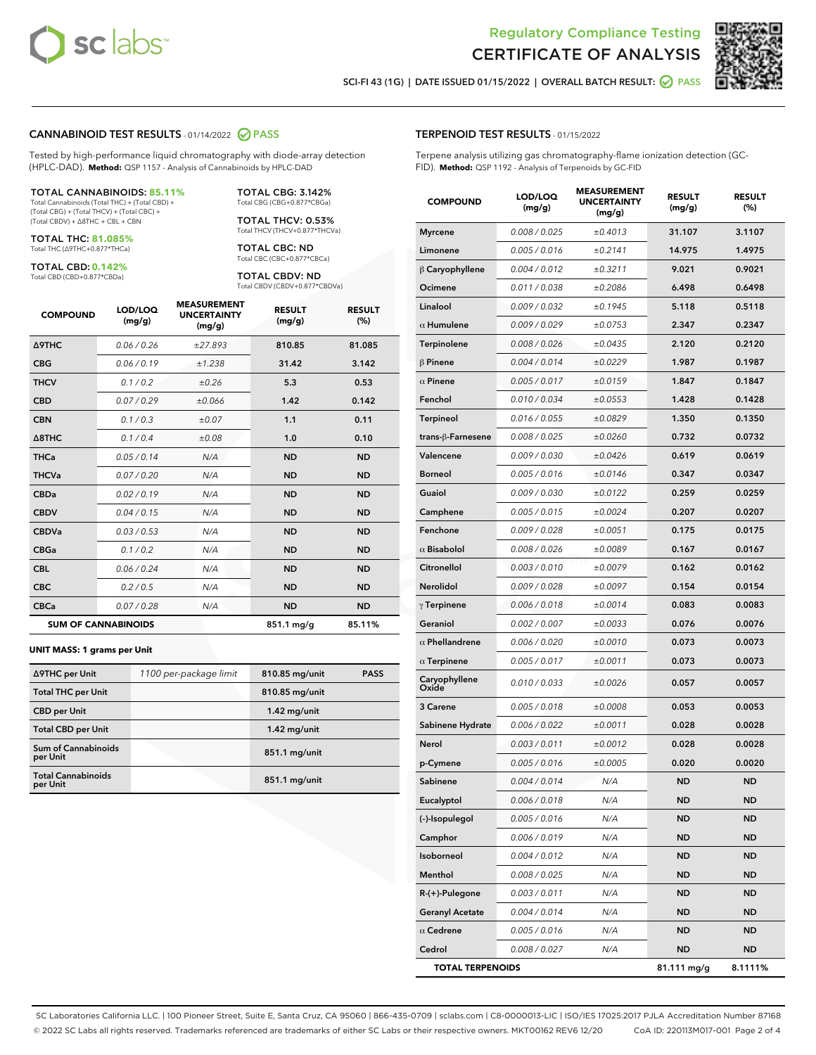



SCI-FI 43 (1G) | DATE ISSUED 01/15/2022 | OVERALL BATCH RESULT: 2 PASS

#### CANNABINOID TEST RESULTS - 01/14/2022 2 PASS

Tested by high-performance liquid chromatography with diode-array detection (HPLC-DAD). **Method:** QSP 1157 - Analysis of Cannabinoids by HPLC-DAD

#### TOTAL CANNABINOIDS: **85.11%**

Total Cannabinoids (Total THC) + (Total CBD) + (Total CBG) + (Total THCV) + (Total CBC) + (Total CBDV) + ∆8THC + CBL + CBN

TOTAL THC: **81.085%** Total THC (∆9THC+0.877\*THCa)

TOTAL CBD: **0.142%**

Total CBD (CBD+0.877\*CBDa)

TOTAL CBG: 3.142% Total CBG (CBG+0.877\*CBGa)

TOTAL THCV: 0.53% Total THCV (THCV+0.877\*THCVa)

TOTAL CBC: ND Total CBC (CBC+0.877\*CBCa)

TOTAL CBDV: ND Total CBDV (CBDV+0.877\*CBDVa)

| <b>COMPOUND</b>  | LOD/LOQ<br>(mg/g)          | <b>MEASUREMENT</b><br><b>UNCERTAINTY</b><br>(mg/g) | <b>RESULT</b><br>(mg/g) | <b>RESULT</b><br>(%) |
|------------------|----------------------------|----------------------------------------------------|-------------------------|----------------------|
| <b>A9THC</b>     | 0.06 / 0.26                | ±27.893                                            | 810.85                  | 81.085               |
| <b>CBG</b>       | 0.06/0.19                  | ±1.238                                             | 31.42                   | 3.142                |
| <b>THCV</b>      | 0.1 / 0.2                  | ±0.26                                              | 5.3                     | 0.53                 |
| <b>CBD</b>       | 0.07/0.29                  | ±0.066                                             | 1.42                    | 0.142                |
| <b>CBN</b>       | 0.1 / 0.3                  | ±0.07                                              | 1.1                     | 0.11                 |
| $\triangle$ 8THC | 0.1 / 0.4                  | ±0.08                                              | 1.0                     | 0.10                 |
| <b>THCa</b>      | 0.05/0.14                  | N/A                                                | <b>ND</b>               | <b>ND</b>            |
| <b>THCVa</b>     | 0.07/0.20                  | N/A                                                | <b>ND</b>               | <b>ND</b>            |
| <b>CBDa</b>      | 0.02/0.19                  | N/A                                                | <b>ND</b>               | <b>ND</b>            |
| <b>CBDV</b>      | 0.04/0.15                  | N/A                                                | <b>ND</b>               | <b>ND</b>            |
| <b>CBDVa</b>     | 0.03/0.53                  | N/A                                                | <b>ND</b>               | <b>ND</b>            |
| <b>CBGa</b>      | 0.1/0.2                    | N/A                                                | <b>ND</b>               | <b>ND</b>            |
| <b>CBL</b>       | 0.06 / 0.24                | N/A                                                | <b>ND</b>               | <b>ND</b>            |
| <b>CBC</b>       | 0.2 / 0.5                  | N/A                                                | <b>ND</b>               | <b>ND</b>            |
| <b>CBCa</b>      | 0.07/0.28                  | N/A                                                | <b>ND</b>               | <b>ND</b>            |
|                  | <b>SUM OF CANNABINOIDS</b> |                                                    | 851.1 mg/g              | 85.11%               |

#### **UNIT MASS: 1 grams per Unit**

| ∆9THC per Unit                         | 1100 per-package limit | 810.85 mg/unit | <b>PASS</b> |
|----------------------------------------|------------------------|----------------|-------------|
| <b>Total THC per Unit</b>              |                        | 810.85 mg/unit |             |
| <b>CBD per Unit</b>                    |                        | $1.42$ mg/unit |             |
| <b>Total CBD per Unit</b>              |                        | $1.42$ mg/unit |             |
| <b>Sum of Cannabinoids</b><br>per Unit |                        | 851.1 mg/unit  |             |
| <b>Total Cannabinoids</b><br>per Unit  |                        | 851.1 mg/unit  |             |

| <b>COMPOUND</b>         | LOD/LOQ<br>(mg/g) | <b>MEASUREMENT</b><br><b>UNCERTAINTY</b><br>(mg/g) | <b>RESULT</b><br>(mg/g) | <b>RESULT</b><br>(%) |
|-------------------------|-------------------|----------------------------------------------------|-------------------------|----------------------|
| <b>Myrcene</b>          | 0.008 / 0.025     | ±0.4013                                            | 31.107                  | 3.1107               |
| Limonene                | 0.005 / 0.016     | ±0.2141                                            | 14.975                  | 1.4975               |
| $\beta$ Caryophyllene   | 0.004 / 0.012     | ±0.3211                                            | 9.021                   | 0.9021               |
| Ocimene                 | 0.011 / 0.038     | ±0.2086                                            | 6.498                   | 0.6498               |
| Linalool                | 0.009 / 0.032     | ±0.1945                                            | 5.118                   | 0.5118               |
| $\alpha$ Humulene       | 0.009/0.029       | ±0.0753                                            | 2.347                   | 0.2347               |
| Terpinolene             | 0.008 / 0.026     | ±0.0435                                            | 2.120                   | 0.2120               |
| $\beta$ Pinene          | 0.004 / 0.014     | ±0.0229                                            | 1.987                   | 0.1987               |
| $\alpha$ Pinene         | 0.005 / 0.017     | ±0.0159                                            | 1.847                   | 0.1847               |
| Fenchol                 | 0.010 / 0.034     | ±0.0553                                            | 1.428                   | 0.1428               |
| Terpineol               | 0.016 / 0.055     | ±0.0829                                            | 1.350                   | 0.1350               |
| trans-ß-Farnesene       | 0.008 / 0.025     | ±0.0260                                            | 0.732                   | 0.0732               |
| Valencene               | 0.009 / 0.030     | ±0.0426                                            | 0.619                   | 0.0619               |
| <b>Borneol</b>          | 0.005 / 0.016     | ±0.0146                                            | 0.347                   | 0.0347               |
| Guaiol                  | 0.009 / 0.030     | ±0.0122                                            | 0.259                   | 0.0259               |
| Camphene                | 0.005 / 0.015     | ±0.0024                                            | 0.207                   | 0.0207               |
| Fenchone                | 0.009 / 0.028     | ±0.0051                                            | 0.175                   | 0.0175               |
| $\alpha$ Bisabolol      | 0.008 / 0.026     | ±0.0089                                            | 0.167                   | 0.0167               |
| Citronellol             | 0.003/0.010       | ±0.0079                                            | 0.162                   | 0.0162               |
| Nerolidol               | 0.009 / 0.028     | ±0.0097                                            | 0.154                   | 0.0154               |
| $\gamma$ Terpinene      | 0.006 / 0.018     | ±0.0014                                            | 0.083                   | 0.0083               |
| Geraniol                | 0.002 / 0.007     | ±0.0033                                            | 0.076                   | 0.0076               |
| $\alpha$ Phellandrene   | 0.006 / 0.020     | ±0.0010                                            | 0.073                   | 0.0073               |
| $\alpha$ Terpinene      | 0.005 / 0.017     | ±0.0011                                            | 0.073                   | 0.0073               |
| Caryophyllene<br>Oxide  | 0.010 / 0.033     | ±0.0026                                            | 0.057                   | 0.0057               |
| 3 Carene                | 0.005 / 0.018     | ±0.0008                                            | 0.053                   | 0.0053               |
| Sabinene Hydrate        | 0.006 / 0.022     | ±0.0011                                            | 0.028                   | 0.0028               |
| Nerol                   | 0.003 / 0.011     | ±0.0012                                            | 0.028                   | 0.0028               |
| p-Cymene                | 0.005 / 0.016     | ±0.0005                                            | 0.020                   | 0.0020               |
| Sabinene                | 0.004 / 0.014     | N/A                                                | ND                      | ND                   |
| Eucalyptol              | 0.006 / 0.018     | N/A                                                | ND                      | ND                   |
| (-)-Isopulegol          | 0.005 / 0.016     | N/A                                                | ND                      | <b>ND</b>            |
| Camphor                 | 0.006 / 0.019     | N/A                                                | ND                      | <b>ND</b>            |
| Isoborneol              | 0.004 / 0.012     | N/A                                                | ND                      | <b>ND</b>            |
| Menthol                 | 0.008 / 0.025     | N/A                                                | ND                      | <b>ND</b>            |
| R-(+)-Pulegone          | 0.003 / 0.011     | N/A                                                | ND                      | <b>ND</b>            |
| <b>Geranyl Acetate</b>  | 0.004 / 0.014     | N/A                                                | ND                      | <b>ND</b>            |
| $\alpha$ Cedrene        | 0.005 / 0.016     | N/A                                                | ND                      | <b>ND</b>            |
| Cedrol                  | 0.008 / 0.027     | N/A                                                | <b>ND</b>               | ND                   |
| <b>TOTAL TERPENOIDS</b> |                   |                                                    | 81.111 mg/g             | 8.1111%              |

SC Laboratories California LLC. | 100 Pioneer Street, Suite E, Santa Cruz, CA 95060 | 866-435-0709 | sclabs.com | C8-0000013-LIC | ISO/IES 17025:2017 PJLA Accreditation Number 87168 © 2022 SC Labs all rights reserved. Trademarks referenced are trademarks of either SC Labs or their respective owners. MKT00162 REV6 12/20 CoA ID: 220113M017-001 Page 2 of 4

#### TERPENOID TEST RESULTS - 01/15/2022

Terpene analysis utilizing gas chromatography-flame ionization detection (GC-FID). **Method:** QSP 1192 - Analysis of Terpenoids by GC-FID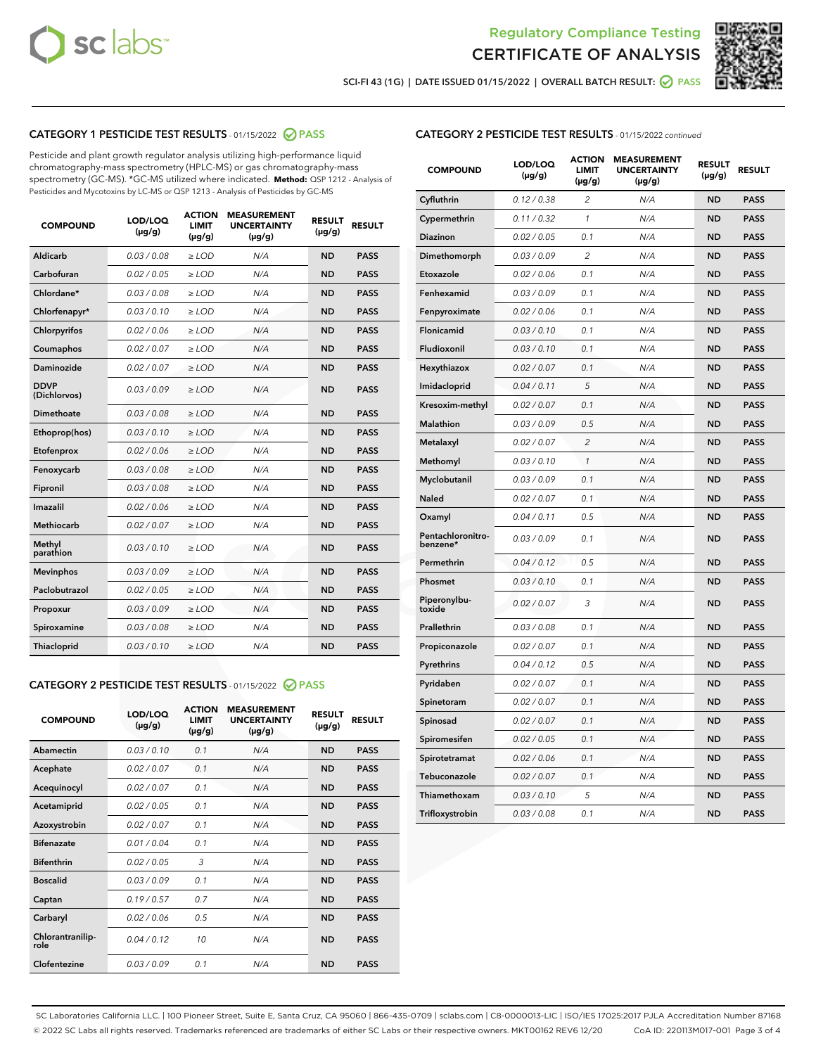



SCI-FI 43 (1G) | DATE ISSUED 01/15/2022 | OVERALL BATCH RESULT: O PASS

#### CATEGORY 1 PESTICIDE TEST RESULTS - 01/15/2022 @ PASS

Pesticide and plant growth regulator analysis utilizing high-performance liquid chromatography-mass spectrometry (HPLC-MS) or gas chromatography-mass spectrometry (GC-MS). \*GC-MS utilized where indicated. **Method:** QSP 1212 - Analysis of Pesticides and Mycotoxins by LC-MS or QSP 1213 - Analysis of Pesticides by GC-MS

| <b>COMPOUND</b>             | LOD/LOQ<br>$(\mu g/g)$ | <b>ACTION</b><br><b>LIMIT</b><br>$(\mu g/g)$ | <b>MEASUREMENT</b><br><b>UNCERTAINTY</b><br>$(\mu g/g)$ | <b>RESULT</b><br>$(\mu g/g)$ | <b>RESULT</b> |
|-----------------------------|------------------------|----------------------------------------------|---------------------------------------------------------|------------------------------|---------------|
| Aldicarb                    | 0.03 / 0.08            | $\ge$ LOD                                    | N/A                                                     | <b>ND</b>                    | <b>PASS</b>   |
| Carbofuran                  | 0.02 / 0.05            | $>$ LOD                                      | N/A                                                     | <b>ND</b>                    | <b>PASS</b>   |
| Chlordane*                  | 0.03/0.08              | $\ge$ LOD                                    | N/A                                                     | <b>ND</b>                    | <b>PASS</b>   |
| Chlorfenapyr*               | 0.03/0.10              | $\ge$ LOD                                    | N/A                                                     | <b>ND</b>                    | <b>PASS</b>   |
| Chlorpyrifos                | 0.02 / 0.06            | $>$ LOD                                      | N/A                                                     | <b>ND</b>                    | <b>PASS</b>   |
| Coumaphos                   | 0.02 / 0.07            | $\ge$ LOD                                    | N/A                                                     | <b>ND</b>                    | <b>PASS</b>   |
| Daminozide                  | 0.02 / 0.07            | $\ge$ LOD                                    | N/A                                                     | <b>ND</b>                    | <b>PASS</b>   |
| <b>DDVP</b><br>(Dichlorvos) | 0.03/0.09              | $\ge$ LOD                                    | N/A                                                     | <b>ND</b>                    | <b>PASS</b>   |
| Dimethoate                  | 0.03/0.08              | $>$ LOD                                      | N/A                                                     | <b>ND</b>                    | <b>PASS</b>   |
| Ethoprop(hos)               | 0.03/0.10              | $\ge$ LOD                                    | N/A                                                     | <b>ND</b>                    | <b>PASS</b>   |
| Etofenprox                  | 0.02/0.06              | $>$ LOD                                      | N/A                                                     | <b>ND</b>                    | <b>PASS</b>   |
| Fenoxycarb                  | 0.03 / 0.08            | $\ge$ LOD                                    | N/A                                                     | <b>ND</b>                    | <b>PASS</b>   |
| Fipronil                    | 0.03/0.08              | $\ge$ LOD                                    | N/A                                                     | <b>ND</b>                    | <b>PASS</b>   |
| Imazalil                    | 0.02 / 0.06            | $\ge$ LOD                                    | N/A                                                     | <b>ND</b>                    | <b>PASS</b>   |
| Methiocarb                  | 0.02 / 0.07            | $\ge$ LOD                                    | N/A                                                     | <b>ND</b>                    | <b>PASS</b>   |
| Methyl<br>parathion         | 0.03/0.10              | $>$ LOD                                      | N/A                                                     | <b>ND</b>                    | <b>PASS</b>   |
| <b>Mevinphos</b>            | 0.03/0.09              | $>$ LOD                                      | N/A                                                     | <b>ND</b>                    | <b>PASS</b>   |
| Paclobutrazol               | 0.02 / 0.05            | $\ge$ LOD                                    | N/A                                                     | <b>ND</b>                    | <b>PASS</b>   |
| Propoxur                    | 0.03/0.09              | $\ge$ LOD                                    | N/A                                                     | <b>ND</b>                    | <b>PASS</b>   |
| Spiroxamine                 | 0.03 / 0.08            | $\ge$ LOD                                    | N/A                                                     | <b>ND</b>                    | <b>PASS</b>   |
| <b>Thiacloprid</b>          | 0.03/0.10              | $\ge$ LOD                                    | N/A                                                     | <b>ND</b>                    | <b>PASS</b>   |

#### CATEGORY 2 PESTICIDE TEST RESULTS - 01/15/2022 @ PASS

| <b>COMPOUND</b>          | LOD/LOQ<br>$(\mu g/g)$ | <b>ACTION</b><br><b>LIMIT</b><br>$(\mu g/g)$ | <b>MEASUREMENT</b><br><b>UNCERTAINTY</b><br>$(\mu g/g)$ | <b>RESULT</b><br>$(\mu g/g)$ | <b>RESULT</b> |
|--------------------------|------------------------|----------------------------------------------|---------------------------------------------------------|------------------------------|---------------|
| Abamectin                | 0.03/0.10              | 0.1                                          | N/A                                                     | <b>ND</b>                    | <b>PASS</b>   |
| Acephate                 | 0.02/0.07              | 0.1                                          | N/A                                                     | <b>ND</b>                    | <b>PASS</b>   |
| Acequinocyl              | 0.02/0.07              | 0.1                                          | N/A                                                     | <b>ND</b>                    | <b>PASS</b>   |
| Acetamiprid              | 0.02/0.05              | 0.1                                          | N/A                                                     | <b>ND</b>                    | <b>PASS</b>   |
| Azoxystrobin             | 0.02/0.07              | 0.1                                          | N/A                                                     | <b>ND</b>                    | <b>PASS</b>   |
| <b>Bifenazate</b>        | 0.01/0.04              | 0.1                                          | N/A                                                     | <b>ND</b>                    | <b>PASS</b>   |
| <b>Bifenthrin</b>        | 0.02 / 0.05            | 3                                            | N/A                                                     | <b>ND</b>                    | <b>PASS</b>   |
| <b>Boscalid</b>          | 0.03/0.09              | 0.1                                          | N/A                                                     | <b>ND</b>                    | <b>PASS</b>   |
| Captan                   | 0.19/0.57              | 0.7                                          | N/A                                                     | <b>ND</b>                    | <b>PASS</b>   |
| Carbaryl                 | 0.02/0.06              | 0.5                                          | N/A                                                     | <b>ND</b>                    | <b>PASS</b>   |
| Chlorantranilip-<br>role | 0.04/0.12              | 10                                           | N/A                                                     | <b>ND</b>                    | <b>PASS</b>   |
| Clofentezine             | 0.03/0.09              | 0.1                                          | N/A                                                     | <b>ND</b>                    | <b>PASS</b>   |

#### CATEGORY 2 PESTICIDE TEST RESULTS - 01/15/2022 continued

| <b>COMPOUND</b>               | LOD/LOQ<br>(µg/g) | <b>ACTION</b><br>LIMIT<br>$(\mu g/g)$ | <b>MEASUREMENT</b><br><b>UNCERTAINTY</b><br>(µg/g) | <b>RESULT</b><br>(µg/g) | <b>RESULT</b> |
|-------------------------------|-------------------|---------------------------------------|----------------------------------------------------|-------------------------|---------------|
| Cyfluthrin                    | 0.12 / 0.38       | 2                                     | N/A                                                | <b>ND</b>               | <b>PASS</b>   |
| Cypermethrin                  | 0.11 / 0.32       | 1                                     | N/A                                                | <b>ND</b>               | <b>PASS</b>   |
| Diazinon                      | 0.02 / 0.05       | 0.1                                   | N/A                                                | ND                      | <b>PASS</b>   |
| Dimethomorph                  | 0.03 / 0.09       | 2                                     | N/A                                                | <b>ND</b>               | <b>PASS</b>   |
| Etoxazole                     | 0.02 / 0.06       | 0.1                                   | N/A                                                | <b>ND</b>               | <b>PASS</b>   |
| Fenhexamid                    | 0.03 / 0.09       | 0.1                                   | N/A                                                | ND                      | <b>PASS</b>   |
| Fenpyroximate                 | 0.02 / 0.06       | 0.1                                   | N/A                                                | <b>ND</b>               | <b>PASS</b>   |
| Flonicamid                    | 0.03 / 0.10       | 0.1                                   | N/A                                                | <b>ND</b>               | <b>PASS</b>   |
| Fludioxonil                   | 0.03 / 0.10       | 0.1                                   | N/A                                                | <b>ND</b>               | <b>PASS</b>   |
| Hexythiazox                   | 0.02 / 0.07       | 0.1                                   | N/A                                                | <b>ND</b>               | <b>PASS</b>   |
| Imidacloprid                  | 0.04 / 0.11       | 5                                     | N/A                                                | <b>ND</b>               | <b>PASS</b>   |
| Kresoxim-methyl               | 0.02 / 0.07       | 0.1                                   | N/A                                                | ND                      | <b>PASS</b>   |
| Malathion                     | 0.03 / 0.09       | 0.5                                   | N/A                                                | <b>ND</b>               | <b>PASS</b>   |
| Metalaxyl                     | 0.02 / 0.07       | $\overline{c}$                        | N/A                                                | <b>ND</b>               | <b>PASS</b>   |
| Methomyl                      | 0.03 / 0.10       | 1                                     | N/A                                                | <b>ND</b>               | <b>PASS</b>   |
| Myclobutanil                  | 0.03/0.09         | 0.1                                   | N/A                                                | <b>ND</b>               | <b>PASS</b>   |
| Naled                         | 0.02 / 0.07       | 0.1                                   | N/A                                                | ND                      | <b>PASS</b>   |
| Oxamyl                        | 0.04 / 0.11       | 0.5                                   | N/A                                                | ND                      | <b>PASS</b>   |
| Pentachloronitro-<br>benzene* | 0.03 / 0.09       | 0.1                                   | N/A                                                | ND                      | <b>PASS</b>   |
| Permethrin                    | 0.04/0.12         | 0.5                                   | N/A                                                | <b>ND</b>               | <b>PASS</b>   |
| Phosmet                       | 0.03 / 0.10       | 0.1                                   | N/A                                                | <b>ND</b>               | <b>PASS</b>   |
| Piperonylbu-<br>toxide        | 0.02 / 0.07       | 3                                     | N/A                                                | <b>ND</b>               | <b>PASS</b>   |
| Prallethrin                   | 0.03 / 0.08       | 0.1                                   | N/A                                                | <b>ND</b>               | <b>PASS</b>   |
| Propiconazole                 | 0.02 / 0.07       | 0.1                                   | N/A                                                | <b>ND</b>               | <b>PASS</b>   |
| Pyrethrins                    | 0.04 / 0.12       | 0.5                                   | N/A                                                | ND                      | <b>PASS</b>   |
| Pyridaben                     | 0.02 / 0.07       | 0.1                                   | N/A                                                | <b>ND</b>               | <b>PASS</b>   |
| Spinetoram                    | 0.02 / 0.07       | 0.1                                   | N/A                                                | <b>ND</b>               | <b>PASS</b>   |
| Spinosad                      | 0.02 / 0.07       | 0.1                                   | N/A                                                | <b>ND</b>               | <b>PASS</b>   |
| Spiromesifen                  | 0.02 / 0.05       | 0.1                                   | N/A                                                | <b>ND</b>               | <b>PASS</b>   |
| Spirotetramat                 | 0.02 / 0.06       | 0.1                                   | N/A                                                | <b>ND</b>               | <b>PASS</b>   |
| Tebuconazole                  | 0.02 / 0.07       | 0.1                                   | N/A                                                | <b>ND</b>               | <b>PASS</b>   |
| Thiamethoxam                  | 0.03 / 0.10       | 5                                     | N/A                                                | <b>ND</b>               | <b>PASS</b>   |
| Trifloxystrobin               | 0.03 / 0.08       | 0.1                                   | N/A                                                | <b>ND</b>               | <b>PASS</b>   |

SC Laboratories California LLC. | 100 Pioneer Street, Suite E, Santa Cruz, CA 95060 | 866-435-0709 | sclabs.com | C8-0000013-LIC | ISO/IES 17025:2017 PJLA Accreditation Number 87168 © 2022 SC Labs all rights reserved. Trademarks referenced are trademarks of either SC Labs or their respective owners. MKT00162 REV6 12/20 CoA ID: 220113M017-001 Page 3 of 4